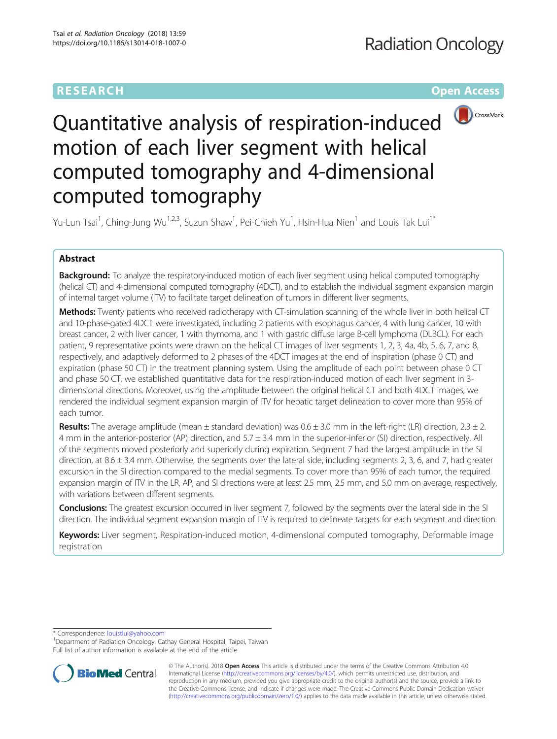# RESEARCH **RESEARCH CONSUMING ACCESS**



Quantitative analysis of respiration-induced motion of each liver segment with helical computed tomography and 4-dimensional computed tomography

Yu-Lun Tsai<sup>1</sup>, Ching-Jung Wu<sup>1,2,3</sup>, Suzun Shaw<sup>1</sup>, Pei-Chieh Yu<sup>1</sup>, Hsin-Hua Nien<sup>1</sup> and Louis Tak Lui<sup>1\*</sup>

## Abstract

Background: To analyze the respiratory-induced motion of each liver segment using helical computed tomography (helical CT) and 4-dimensional computed tomography (4DCT), and to establish the individual segment expansion margin of internal target volume (ITV) to facilitate target delineation of tumors in different liver segments.

Methods: Twenty patients who received radiotherapy with CT-simulation scanning of the whole liver in both helical CT and 10-phase-gated 4DCT were investigated, including 2 patients with esophagus cancer, 4 with lung cancer, 10 with breast cancer, 2 with liver cancer, 1 with thymoma, and 1 with gastric diffuse large B-cell lymphoma (DLBCL). For each patient, 9 representative points were drawn on the helical CT images of liver segments 1, 2, 3, 4a, 4b, 5, 6, 7, and 8, respectively, and adaptively deformed to 2 phases of the 4DCT images at the end of inspiration (phase 0 CT) and expiration (phase 50 CT) in the treatment planning system. Using the amplitude of each point between phase 0 CT and phase 50 CT, we established quantitative data for the respiration-induced motion of each liver segment in 3 dimensional directions. Moreover, using the amplitude between the original helical CT and both 4DCT images, we rendered the individual segment expansion margin of ITV for hepatic target delineation to cover more than 95% of each tumor.

**Results:** The average amplitude (mean  $\pm$  standard deviation) was  $0.6 \pm 3.0$  mm in the left-right (LR) direction,  $2.3 \pm 2.$ 4 mm in the anterior-posterior (AP) direction, and 5.7 ± 3.4 mm in the superior-inferior (SI) direction, respectively. All of the segments moved posteriorly and superiorly during expiration. Segment 7 had the largest amplitude in the SI direction, at  $8.6 \pm 3.4$  mm. Otherwise, the segments over the lateral side, including segments 2, 3, 6, and 7, had greater excursion in the SI direction compared to the medial segments. To cover more than 95% of each tumor, the required expansion margin of ITV in the LR, AP, and SI directions were at least 2.5 mm, 2.5 mm, and 5.0 mm on average, respectively, with variations between different segments.

Conclusions: The greatest excursion occurred in liver segment 7, followed by the segments over the lateral side in the SI direction. The individual segment expansion margin of ITV is required to delineate targets for each segment and direction.

Keywords: Liver segment, Respiration-induced motion, 4-dimensional computed tomography, Deformable image registration

\* Correspondence: [louistlui@yahoo.com](mailto:louistlui@yahoo.com) <sup>1</sup>

Department of Radiation Oncology, Cathay General Hospital, Taipei, Taiwan Full list of author information is available at the end of the article



© The Author(s). 2018 Open Access This article is distributed under the terms of the Creative Commons Attribution 4.0 International License [\(http://creativecommons.org/licenses/by/4.0/](http://creativecommons.org/licenses/by/4.0/)), which permits unrestricted use, distribution, and reproduction in any medium, provided you give appropriate credit to the original author(s) and the source, provide a link to the Creative Commons license, and indicate if changes were made. The Creative Commons Public Domain Dedication waiver [\(http://creativecommons.org/publicdomain/zero/1.0/](http://creativecommons.org/publicdomain/zero/1.0/)) applies to the data made available in this article, unless otherwise stated.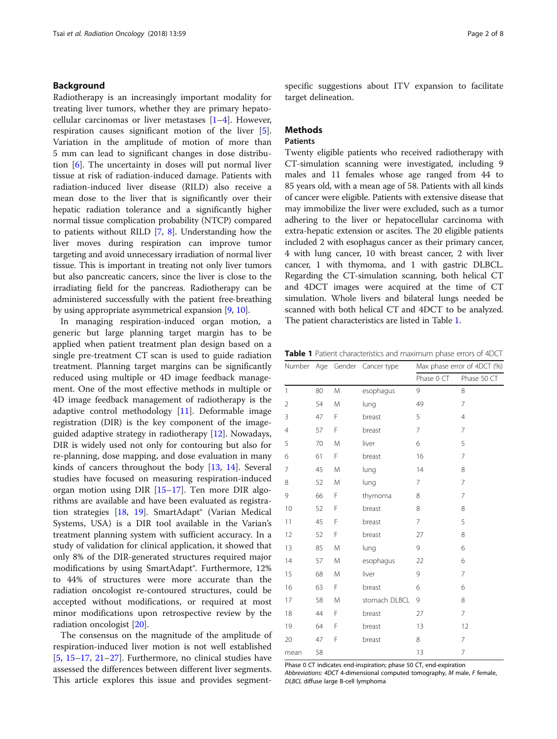### <span id="page-1-0"></span>Background

Radiotherapy is an increasingly important modality for treating liver tumors, whether they are primary hepatocellular carcinomas or liver metastases  $[1-4]$  $[1-4]$  $[1-4]$ . However, respiration causes significant motion of the liver [\[5](#page-7-0)]. Variation in the amplitude of motion of more than 5 mm can lead to significant changes in dose distribution [\[6](#page-7-0)]. The uncertainty in doses will put normal liver tissue at risk of radiation-induced damage. Patients with radiation-induced liver disease (RILD) also receive a mean dose to the liver that is significantly over their hepatic radiation tolerance and a significantly higher normal tissue complication probability (NTCP) compared to patients without RILD [\[7](#page-7-0), [8](#page-7-0)]. Understanding how the liver moves during respiration can improve tumor targeting and avoid unnecessary irradiation of normal liver tissue. This is important in treating not only liver tumors but also pancreatic cancers, since the liver is close to the irradiating field for the pancreas. Radiotherapy can be administered successfully with the patient free-breathing by using appropriate asymmetrical expansion [\[9,](#page-7-0) [10](#page-7-0)].

In managing respiration-induced organ motion, a generic but large planning target margin has to be applied when patient treatment plan design based on a single pre-treatment CT scan is used to guide radiation treatment. Planning target margins can be significantly reduced using multiple or 4D image feedback management. One of the most effective methods in multiple or 4D image feedback management of radiotherapy is the adaptive control methodology [[11](#page-7-0)]. Deformable image registration (DIR) is the key component of the imageguided adaptive strategy in radiotherapy [\[12](#page-7-0)]. Nowadays, DIR is widely used not only for contouring but also for re-planning, dose mapping, and dose evaluation in many kinds of cancers throughout the body [[13](#page-7-0), [14\]](#page-7-0). Several studies have focused on measuring respiration-induced organ motion using DIR [[15](#page-7-0)–[17\]](#page-7-0). Ten more DIR algorithms are available and have been evaluated as registration strategies [[18](#page-7-0), [19](#page-7-0)]. SmartAdapt® (Varian Medical Systems, USA) is a DIR tool available in the Varian's treatment planning system with sufficient accuracy. In a study of validation for clinical application, it showed that only 8% of the DIR-generated structures required major modifications by using SmartAdapt®. Furthermore, 12% to 44% of structures were more accurate than the radiation oncologist re-contoured structures, could be accepted without modifications, or required at most minor modifications upon retrospective review by the radiation oncologist [\[20\]](#page-7-0).

The consensus on the magnitude of the amplitude of respiration-induced liver motion is not well established [[5,](#page-7-0) [15](#page-7-0)–[17](#page-7-0), [21](#page-7-0)–[27](#page-7-0)]. Furthermore, no clinical studies have assessed the differences between different liver segments. This article explores this issue and provides segmentspecific suggestions about ITV expansion to facilitate target delineation.

### **Methods**

### **Patients**

Twenty eligible patients who received radiotherapy with CT-simulation scanning were investigated, including 9 males and 11 females whose age ranged from 44 to 85 years old, with a mean age of 58. Patients with all kinds of cancer were eligible. Patients with extensive disease that may immobilize the liver were excluded, such as a tumor adhering to the liver or hepatocellular carcinoma with extra-hepatic extension or ascites. The 20 eligible patients included 2 with esophagus cancer as their primary cancer, 4 with lung cancer, 10 with breast cancer, 2 with liver cancer, 1 with thymoma, and 1 with gastric DLBCL. Regarding the CT-simulation scanning, both helical CT and 4DCT images were acquired at the time of CT simulation. Whole livers and bilateral lungs needed be scanned with both helical CT and 4DCT to be analyzed. The patient characteristics are listed in Table 1.

Table 1 Patient characteristics and maximum phase errors of 4DCT

|              |    |   | Number Age Gender Cancer type | Max phase error of 4DCT (%) |                |  |
|--------------|----|---|-------------------------------|-----------------------------|----------------|--|
|              |    |   |                               | Phase 0 CT                  | Phase 50 CT    |  |
| $\mathbf{1}$ | 80 | Μ | esophagus                     | 9                           | 8              |  |
| 2            | 54 | M | lung                          | 49                          | 7              |  |
| 3            | 47 | F | breast                        | 5                           | $\overline{4}$ |  |
| 4            | 57 | F | breast                        | $\overline{7}$              | 7              |  |
| 5            | 70 | M | liver                         | 6                           | 5              |  |
| 6            | 61 | F | breast                        | 16                          | $\overline{7}$ |  |
| 7            | 45 | M | lung                          | 14                          | 8              |  |
| 8            | 52 | M | lung                          | 7                           | 7              |  |
| 9            | 66 | F | thymoma                       | 8                           | 7              |  |
| 10           | 52 | F | breast                        | 8                           | 8              |  |
| 11           | 45 | F | breast                        | $\overline{7}$              | 5              |  |
| 12           | 52 | F | breast                        | 27                          | 8              |  |
| 13           | 85 | M | lung                          | 9                           | 6              |  |
| 14           | 57 | M | esophagus                     | 22                          | 6              |  |
| 15           | 68 | M | liver                         | 9                           | $\overline{7}$ |  |
| 16           | 63 | F | breast                        | 6                           | 6              |  |
| 17           | 58 | M | stomach DLBCL                 | 9                           | 8              |  |
| 18           | 44 | F | breast                        | 27                          | 7              |  |
| 19           | 64 | F | breast                        | 13                          | 12             |  |
| 20           | 47 | F | breast                        | 8                           | $\overline{7}$ |  |
| mean         | 58 |   |                               | 13                          | $\overline{7}$ |  |

Phase 0 CT indicates end-inspiration; phase 50 CT, end-expiration Abbreviations: 4DCT 4-dimensional computed tomography, M male, F female, DLBCL diffuse large B-cell lymphoma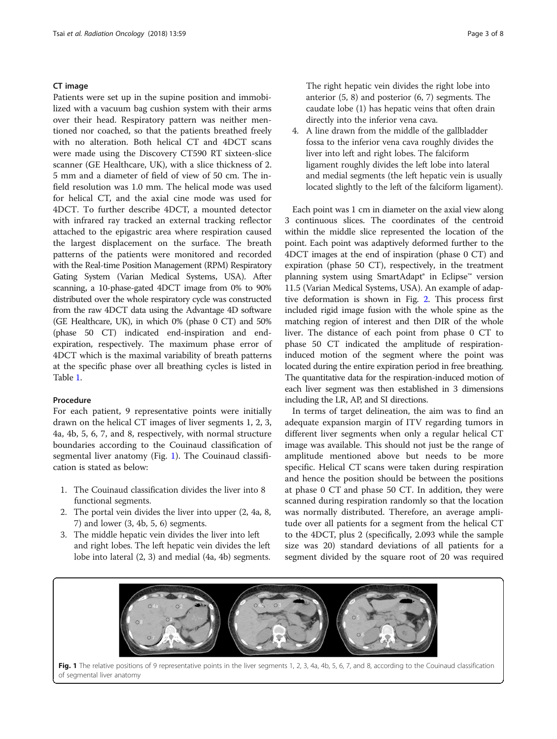### CT image

Patients were set up in the supine position and immobilized with a vacuum bag cushion system with their arms over their head. Respiratory pattern was neither mentioned nor coached, so that the patients breathed freely with no alteration. Both helical CT and 4DCT scans were made using the Discovery CT590 RT sixteen-slice scanner (GE Healthcare, UK), with a slice thickness of 2. 5 mm and a diameter of field of view of 50 cm. The infield resolution was 1.0 mm. The helical mode was used for helical CT, and the axial cine mode was used for 4DCT. To further describe 4DCT, a mounted detector with infrared ray tracked an external tracking reflector attached to the epigastric area where respiration caused the largest displacement on the surface. The breath patterns of the patients were monitored and recorded with the Real-time Position Management (RPM) Respiratory Gating System (Varian Medical Systems, USA). After scanning, a 10-phase-gated 4DCT image from 0% to 90% distributed over the whole respiratory cycle was constructed from the raw 4DCT data using the Advantage 4D software (GE Healthcare, UK), in which 0% (phase 0 CT) and 50% (phase 50 CT) indicated end-inspiration and endexpiration, respectively. The maximum phase error of 4DCT which is the maximal variability of breath patterns at the specific phase over all breathing cycles is listed in Table [1.](#page-1-0)

### Procedure

For each patient, 9 representative points were initially drawn on the helical CT images of liver segments 1, 2, 3, 4a, 4b, 5, 6, 7, and 8, respectively, with normal structure boundaries according to the Couinaud classification of segmental liver anatomy (Fig. 1). The Couinaud classification is stated as below:

- 1. The Couinaud classification divides the liver into 8 functional segments.
- 2. The portal vein divides the liver into upper (2, 4a, 8, 7) and lower (3, 4b, 5, 6) segments.
- 3. The middle hepatic vein divides the liver into left and right lobes. The left hepatic vein divides the left lobe into lateral (2, 3) and medial (4a, 4b) segments.

The right hepatic vein divides the right lobe into anterior (5, 8) and posterior (6, 7) segments. The caudate lobe (1) has hepatic veins that often drain directly into the inferior vena cava.

4. A line drawn from the middle of the gallbladder fossa to the inferior vena cava roughly divides the liver into left and right lobes. The falciform ligament roughly divides the left lobe into lateral and medial segments (the left hepatic vein is usually located slightly to the left of the falciform ligament).

Each point was 1 cm in diameter on the axial view along 3 continuous slices. The coordinates of the centroid within the middle slice represented the location of the point. Each point was adaptively deformed further to the 4DCT images at the end of inspiration (phase 0 CT) and expiration (phase 50 CT), respectively, in the treatment planning system using SmartAdapt® in Eclipse™ version 11.5 (Varian Medical Systems, USA). An example of adaptive deformation is shown in Fig. [2.](#page-3-0) This process first included rigid image fusion with the whole spine as the matching region of interest and then DIR of the whole liver. The distance of each point from phase 0 CT to phase 50 CT indicated the amplitude of respirationinduced motion of the segment where the point was located during the entire expiration period in free breathing. The quantitative data for the respiration-induced motion of each liver segment was then established in 3 dimensions including the LR, AP, and SI directions.

In terms of target delineation, the aim was to find an adequate expansion margin of ITV regarding tumors in different liver segments when only a regular helical CT image was available. This should not just be the range of amplitude mentioned above but needs to be more specific. Helical CT scans were taken during respiration and hence the position should be between the positions at phase 0 CT and phase 50 CT. In addition, they were scanned during respiration randomly so that the location was normally distributed. Therefore, an average amplitude over all patients for a segment from the helical CT to the 4DCT, plus 2 (specifically, 2.093 while the sample size was 20) standard deviations of all patients for a segment divided by the square root of 20 was required



Fig. 1 The relative positions of 9 representative points in the liver segments 1, 2, 3, 4a, 4b, 5, 6, 7, and 8, according to the Couinaud classification of segmental liver anatomy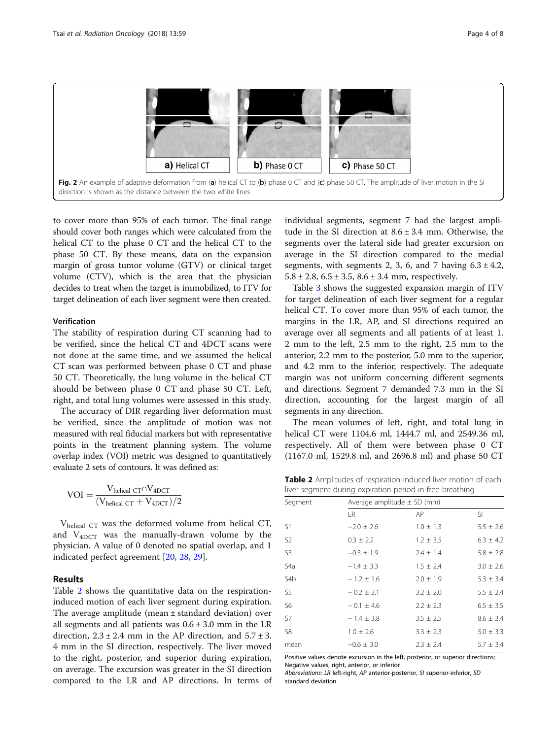<span id="page-3-0"></span>

to cover more than 95% of each tumor. The final range should cover both ranges which were calculated from the helical CT to the phase 0 CT and the helical CT to the phase 50 CT. By these means, data on the expansion margin of gross tumor volume (GTV) or clinical target volume (CTV), which is the area that the physician decides to treat when the target is immobilized, to ITV for target delineation of each liver segment were then created.

### Verification

The stability of respiration during CT scanning had to be verified, since the helical CT and 4DCT scans were not done at the same time, and we assumed the helical CT scan was performed between phase 0 CT and phase 50 CT. Theoretically, the lung volume in the helical CT should be between phase 0 CT and phase 50 CT. Left, right, and total lung volumes were assessed in this study.

The accuracy of DIR regarding liver deformation must be verified, since the amplitude of motion was not measured with real fiducial markers but with representative points in the treatment planning system. The volume overlap index (VOI) metric was designed to quantitatively evaluate 2 sets of contours. It was defined as:

$$
\text{VOI} = \frac{V_{\text{helical CT}} \cap V_{\text{4DCT}}}{(V_{\text{helical CT}} + V_{\text{4DCT}})/2}
$$

V<sub>helical CT</sub> was the deformed volume from helical CT, and V4DCT was the manually-drawn volume by the physician. A value of 0 denoted no spatial overlap, and 1 indicated perfect agreement [[20,](#page-7-0) [28,](#page-7-0) [29\]](#page-7-0).

### Results

Table 2 shows the quantitative data on the respirationinduced motion of each liver segment during expiration. The average amplitude (mean ± standard deviation) over all segments and all patients was  $0.6 \pm 3.0$  mm in the LR direction,  $2.3 \pm 2.4$  mm in the AP direction, and  $5.7 \pm 3$ . 4 mm in the SI direction, respectively. The liver moved to the right, posterior, and superior during expiration, on average. The excursion was greater in the SI direction compared to the LR and AP directions. In terms of individual segments, segment 7 had the largest amplitude in the SI direction at  $8.6 \pm 3.4$  mm. Otherwise, the segments over the lateral side had greater excursion on average in the SI direction compared to the medial segments, with segments 2, 3, 6, and 7 having  $6.3 \pm 4.2$ ,  $5.8 \pm 2.8$ ,  $6.5 \pm 3.5$ ,  $8.6 \pm 3.4$  mm, respectively.

Table [3](#page-4-0) shows the suggested expansion margin of ITV for target delineation of each liver segment for a regular helical CT. To cover more than 95% of each tumor, the margins in the LR, AP, and SI directions required an average over all segments and all patients of at least 1. 2 mm to the left, 2.5 mm to the right, 2.5 mm to the anterior, 2.2 mm to the posterior, 5.0 mm to the superior, and 4.2 mm to the inferior, respectively. The adequate margin was not uniform concerning different segments and directions. Segment 7 demanded 7.3 mm in the SI direction, accounting for the largest margin of all segments in any direction.

The mean volumes of left, right, and total lung in helical CT were 1104.6 ml, 1444.7 ml, and 2549.36 ml, respectively. All of them were between phase 0 CT (1167.0 ml, 1529.8 ml, and 2696.8 ml) and phase 50 CT

Table 2 Amplitudes of respiration-induced liver motion of each liver segment during expiration period in free breathing

| Segment          | Average amplitude $\pm$ SD (mm) |               |               |  |  |  |
|------------------|---------------------------------|---------------|---------------|--|--|--|
|                  | I R                             | AP            | -SI           |  |  |  |
| S1               | $-2.0 \pm 2.6$                  | $1.0 \pm 1.3$ | $5.5 \pm 2.6$ |  |  |  |
| S <sub>2</sub>   | $0.3 \pm 2.2$                   | $1.2 \pm 3.5$ | $6.3 \pm 4.2$ |  |  |  |
| S <sub>3</sub>   | $-0.3 \pm 1.9$                  | $2.4 \pm 1.4$ | $5.8 \pm 2.8$ |  |  |  |
| S4a              | $-1.4 \pm 3.3$                  | $1.5 \pm 2.4$ | $3.0 \pm 2.6$ |  |  |  |
| S <sub>4</sub> b | $-1.2 \pm 1.6$                  | $2.0 \pm 1.9$ | $5.3 \pm 3.4$ |  |  |  |
| S <sub>5</sub>   | $-0.2 \pm 2.1$                  | $3.2 \pm 2.0$ | $5.5 \pm 2.4$ |  |  |  |
| S6               | $-0.1 \pm 4.6$                  | $2.2 \pm 2.3$ | $6.5 \pm 3.5$ |  |  |  |
| S7               | $-1.4 \pm 3.8$                  | $3.5 \pm 2.5$ | $8.6 \pm 3.4$ |  |  |  |
| S8               | $1.0 \pm 2.6$                   | $3.3 \pm 2.3$ | $5.0 \pm 3.3$ |  |  |  |
| mean             | $-0.6 \pm 3.0$                  | $2.3 \pm 2.4$ | $5.7 \pm 3.4$ |  |  |  |

Positive values denote excursion in the left, posterior, or superior directions; Negative values, right, anterior, or inferior

Abbreviations: LR left-right, AP anterior-posterior, SI superior-inferior, SD standard deviation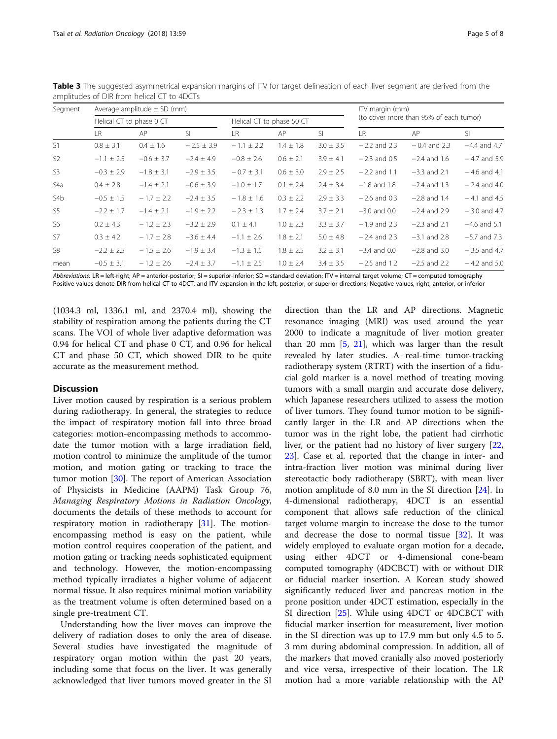| Segment        | Average amplitude $\pm$ SD (mm) |                |                |                           |               |               | ITV margin (mm)                        |                |                |
|----------------|---------------------------------|----------------|----------------|---------------------------|---------------|---------------|----------------------------------------|----------------|----------------|
|                | Helical CT to phase 0 CT        |                |                | Helical CT to phase 50 CT |               |               | (to cover more than 95% of each tumor) |                |                |
|                | IR.                             | AP             | <sup>SI</sup>  | I R                       | AP            | <sup>SI</sup> | IR                                     | AP             | -SI            |
| S1             | $0.8 \pm 3.1$                   | $0.4 \pm 1.6$  | $-2.5 \pm 3.9$ | $-1.1 \pm 2.2$            | $1.4 \pm 1.8$ | $3.0 \pm 3.5$ | $-2.2$ and 2.3                         | $-0.4$ and 2.3 | $-4.4$ and 4.7 |
| S <sub>2</sub> | $-1.1 \pm 2.5$                  | $-0.6 \pm 3.7$ | $-2.4 \pm 4.9$ | $-0.8 \pm 2.6$            | $0.6 \pm 2.1$ | $3.9 \pm 4.1$ | $-2.3$ and 0.5                         | $-2.4$ and 1.6 | $-4.7$ and 5.9 |
| S <sub>3</sub> | $-0.3 \pm 2.9$                  | $-1.8 \pm 3.1$ | $-2.9 \pm 3.5$ | $-0.7 \pm 3.1$            | $0.6 \pm 3.0$ | $2.9 \pm 2.5$ | $-2.2$ and 1.1                         | $-3.3$ and 2.1 | $-4.6$ and 4.1 |
| S4a            | $0.4 \pm 2.8$                   | $-1.4 \pm 2.1$ | $-0.6 \pm 3.9$ | $-1.0 \pm 1.7$            | $0.1 \pm 2.4$ | $2.4 \pm 3.4$ | $-1.8$ and 1.8                         | $-2.4$ and 1.3 | $-2.4$ and 4.0 |
| S4b            | $-0.5 \pm 1.5$                  | $-1.7 \pm 2.2$ | $-2.4 \pm 3.5$ | $-1.8 \pm 1.6$            | $0.3 \pm 2.2$ | $2.9 \pm 3.3$ | $-2.6$ and 0.3                         | $-2.8$ and 1.4 | $-4.1$ and 4.5 |
| S <sub>5</sub> | $-2.2 \pm 1.7$                  | $-1.4 \pm 2.1$ | $-1.9 \pm 2.2$ | $-2.3 \pm 1.3$            | $1.7 \pm 2.4$ | $3.7 \pm 2.1$ | $-3.0$ and 0.0                         | $-2.4$ and 2.9 | $-3.0$ and 4.7 |
| S6             | $0.2 \pm 4.3$                   | $-1.2 \pm 2.3$ | $-3.2 \pm 2.9$ | $0.1 \pm 4.1$             | $1.0 \pm 2.3$ | $3.3 \pm 3.7$ | $-1.9$ and 2.3                         | $-2.3$ and 2.1 | $-4.6$ and 5.1 |
| S7             | $0.3 \pm 4.2$                   | $-1.7 \pm 2.8$ | $-3.6 \pm 4.4$ | $-1.1 \pm 2.6$            | $1.8 \pm 2.1$ | $5.0 \pm 4.8$ | $-2.4$ and 2.3                         | $-3.1$ and 2.8 | $-5.7$ and 7.3 |
| S <sub>8</sub> | $-2.2 \pm 2.5$                  | $-1.5 \pm 2.6$ | $-1.9 \pm 3.4$ | $-1.3 \pm 1.5$            | $1.8 \pm 2.5$ | $3.2 \pm 3.1$ | $-3.4$ and 0.0                         | $-2.8$ and 3.0 | $-3.5$ and 4.7 |
| mean           | $-0.5 \pm 3.1$                  | $-1.2 \pm 2.6$ | $-2.4 \pm 3.7$ | $-1.1 \pm 2.5$            | $1.0 \pm 2.4$ | $3.4 \pm 3.5$ | $-2.5$ and 1.2                         | $-2.5$ and 2.2 | $-4.2$ and 5.0 |

<span id="page-4-0"></span>Table 3 The suggested asymmetrical expansion margins of ITV for target delineation of each liver segment are derived from the amplitudes of DIR from helical CT to 4DCTs

Abbreviations: LR = left-right; AP = anterior-posterior; SI = superior-inferior; SD = standard deviation; ITV = internal target volume; CT = computed tomography Positive values denote DIR from helical CT to 4DCT, and ITV expansion in the left, posterior, or superior directions; Negative values, right, anterior, or inferior

(1034.3 ml, 1336.1 ml, and 2370.4 ml), showing the stability of respiration among the patients during the CT scans. The VOI of whole liver adaptive deformation was 0.94 for helical CT and phase 0 CT, and 0.96 for helical CT and phase 50 CT, which showed DIR to be quite accurate as the measurement method.

### **Discussion**

Liver motion caused by respiration is a serious problem during radiotherapy. In general, the strategies to reduce the impact of respiratory motion fall into three broad categories: motion-encompassing methods to accommodate the tumor motion with a large irradiation field, motion control to minimize the amplitude of the tumor motion, and motion gating or tracking to trace the tumor motion [[30](#page-7-0)]. The report of American Association of Physicists in Medicine (AAPM) Task Group 76, Managing Respiratory Motions in Radiation Oncology, documents the details of these methods to account for respiratory motion in radiotherapy [\[31\]](#page-7-0). The motionencompassing method is easy on the patient, while motion control requires cooperation of the patient, and motion gating or tracking needs sophisticated equipment and technology. However, the motion-encompassing method typically irradiates a higher volume of adjacent normal tissue. It also requires minimal motion variability as the treatment volume is often determined based on a single pre-treatment CT.

Understanding how the liver moves can improve the delivery of radiation doses to only the area of disease. Several studies have investigated the magnitude of respiratory organ motion within the past 20 years, including some that focus on the liver. It was generally acknowledged that liver tumors moved greater in the SI

direction than the LR and AP directions. Magnetic resonance imaging (MRI) was used around the year 2000 to indicate a magnitude of liver motion greater than 20 mm [\[5](#page-7-0), [21](#page-7-0)], which was larger than the result revealed by later studies. A real-time tumor-tracking radiotherapy system (RTRT) with the insertion of a fiducial gold marker is a novel method of treating moving tumors with a small margin and accurate dose delivery, which Japanese researchers utilized to assess the motion of liver tumors. They found tumor motion to be significantly larger in the LR and AP directions when the tumor was in the right lobe, the patient had cirrhotic liver, or the patient had no history of liver surgery [[22](#page-7-0), [23\]](#page-7-0). Case et al. reported that the change in inter- and intra-fraction liver motion was minimal during liver stereotactic body radiotherapy (SBRT), with mean liver motion amplitude of 8.0 mm in the SI direction [\[24](#page-7-0)]. In 4-dimensional radiotherapy, 4DCT is an essential component that allows safe reduction of the clinical target volume margin to increase the dose to the tumor and decrease the dose to normal tissue  $[32]$  $[32]$ . It was widely employed to evaluate organ motion for a decade, using either 4DCT or 4-dimensional cone-beam computed tomography (4DCBCT) with or without DIR or fiducial marker insertion. A Korean study showed significantly reduced liver and pancreas motion in the prone position under 4DCT estimation, especially in the SI direction [\[25\]](#page-7-0). While using 4DCT or 4DCBCT with fiducial marker insertion for measurement, liver motion in the SI direction was up to 17.9 mm but only 4.5 to 5. 3 mm during abdominal compression. In addition, all of the markers that moved cranially also moved posteriorly and vice versa, irrespective of their location. The LR motion had a more variable relationship with the AP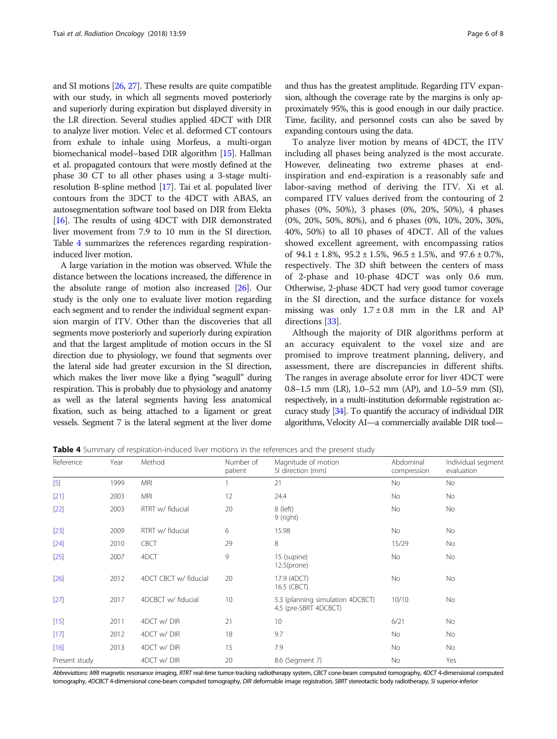and SI motions [[26](#page-7-0), [27](#page-7-0)]. These results are quite compatible with our study, in which all segments moved posteriorly and superiorly during expiration but displayed diversity in the LR direction. Several studies applied 4DCT with DIR to analyze liver motion. Velec et al. deformed CT contours from exhale to inhale using Morfeus, a multi-organ biomechanical model–based DIR algorithm [\[15\]](#page-7-0). Hallman et al. propagated contours that were mostly defined at the phase 30 CT to all other phases using a 3-stage multiresolution B-spline method [\[17\]](#page-7-0). Tai et al. populated liver contours from the 3DCT to the 4DCT with ABAS, an autosegmentation software tool based on DIR from Elekta [[16](#page-7-0)]. The results of using 4DCT with DIR demonstrated liver movement from 7.9 to 10 mm in the SI direction. Table 4 summarizes the references regarding respirationinduced liver motion.

A large variation in the motion was observed. While the distance between the locations increased, the difference in the absolute range of motion also increased [\[26\]](#page-7-0). Our study is the only one to evaluate liver motion regarding each segment and to render the individual segment expansion margin of ITV. Other than the discoveries that all segments move posteriorly and superiorly during expiration and that the largest amplitude of motion occurs in the SI direction due to physiology, we found that segments over the lateral side had greater excursion in the SI direction, which makes the liver move like a flying "seagull" during respiration. This is probably due to physiology and anatomy as well as the lateral segments having less anatomical fixation, such as being attached to a ligament or great vessels. Segment 7 is the lateral segment at the liver dome and thus has the greatest amplitude. Regarding ITV expansion, although the coverage rate by the margins is only approximately 95%, this is good enough in our daily practice. Time, facility, and personnel costs can also be saved by expanding contours using the data.

To analyze liver motion by means of 4DCT, the ITV including all phases being analyzed is the most accurate. However, delineating two extreme phases at endinspiration and end-expiration is a reasonably safe and labor-saving method of deriving the ITV. Xi et al. compared ITV values derived from the contouring of 2 phases (0%, 50%), 3 phases (0%, 20%, 50%), 4 phases (0%, 20%, 50%, 80%), and 6 phases (0%, 10%, 20%, 30%, 40%, 50%) to all 10 phases of 4DCT. All of the values showed excellent agreement, with encompassing ratios of  $94.1 \pm 1.8$ %,  $95.2 \pm 1.5$ %,  $96.5 \pm 1.5$ %, and  $97.6 \pm 0.7$ %, respectively. The 3D shift between the centers of mass of 2-phase and 10-phase 4DCT was only 0.6 mm. Otherwise, 2-phase 4DCT had very good tumor coverage in the SI direction, and the surface distance for voxels missing was only  $1.7 \pm 0.8$  mm in the LR and AP directions [\[33\]](#page-7-0).

Although the majority of DIR algorithms perform at an accuracy equivalent to the voxel size and are promised to improve treatment planning, delivery, and assessment, there are discrepancies in different shifts. The ranges in average absolute error for liver 4DCT were 0.8–1.5 mm (LR), 1.0–5.2 mm (AP), and 1.0–5.9 mm (SI), respectively, in a multi-institution deformable registration accuracy study [\[34](#page-7-0)]. To quantify the accuracy of individual DIR algorithms, Velocity AI—a commercially available DIR tool—

**Table 4** Summary of respiration-induced liver motions in the references and the present study

| Reference     | Year | Method                | Number of<br>patient | Magnitude of motion<br>SI direction (mm)                  | Abdominal<br>compression | Individual segment<br>evaluation |
|---------------|------|-----------------------|----------------------|-----------------------------------------------------------|--------------------------|----------------------------------|
| $[5]$         | 1999 | <b>MRI</b>            |                      | 21                                                        | <b>No</b>                | No                               |
| $[21]$        | 2003 | <b>MRI</b>            | 12                   | 24.4                                                      | <b>No</b>                | No                               |
| $[22]$        | 2003 | RTRT w/ fiducial      | 20                   | 8 (left)<br>9 (right)                                     | No                       | No                               |
| $[23]$        | 2009 | RTRT w/ fiducial      | 6                    | 15.98                                                     | <b>No</b>                | No                               |
| $[24]$        | 2010 | <b>CBCT</b>           | 29                   | 8                                                         | 15/29                    | No                               |
| $[25]$        | 2007 | 4DCT                  | 9                    | 15 (supine)<br>$12.5$ (prone)                             | <b>No</b>                | No                               |
| $[26]$        | 2012 | 4DCT CBCT w/ fiducial | 20                   | 17.9 (4DCT)<br>16.5 (CBCT)                                | No                       | No                               |
| $[27]$        | 2017 | 4DCBCT w/ fiducial    | 10                   | 5.3 (planning simulation 4DCBCT)<br>4.5 (pre-SBRT 4DCBCT) | 10/10                    | No                               |
| $[15]$        | 2011 | 4DCT w/DIR            | 21                   | 10                                                        | 6/21                     | No                               |
| $[17]$        | 2012 | 4DCT w/DIR            | 18                   | 9.7                                                       | <b>No</b>                | No                               |
| $[16]$        | 2013 | 4DCT w/DIR            | 15                   | 7.9                                                       | <b>No</b>                | No                               |
| Present study |      | 4DCT w/DIR            | 20                   | 8.6 (Segment 7)                                           | No                       | Yes                              |

Abbreviations: MRI magnetic resonance imaging, RTRT real-time tumor-tracking radiotherapy system, CBCT cone-beam computed tomography, 4DCT 4-dimensional computed tomography, 4DCBCT 4-dimensional cone-beam computed tomography, DIR deformable image registration, SBRT stereotactic body radiotherapy, SI superior-inferior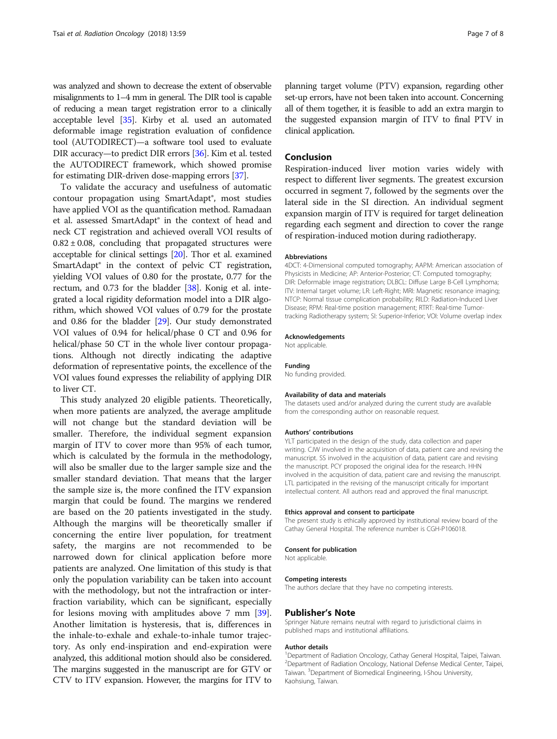was analyzed and shown to decrease the extent of observable misalignments to 1–4 mm in general. The DIR tool is capable of reducing a mean target registration error to a clinically acceptable level [\[35\]](#page-7-0). Kirby et al. used an automated deformable image registration evaluation of confidence tool (AUTODIRECT)—a software tool used to evaluate DIR accuracy—to predict DIR errors [[36](#page-7-0)]. Kim et al. tested the AUTODIRECT framework, which showed promise for estimating DIR-driven dose-mapping errors [\[37\]](#page-7-0).

To validate the accuracy and usefulness of automatic contour propagation using SmartAdapt®, most studies have applied VOI as the quantification method. Ramadaan et al. assessed SmartAdapt® in the context of head and neck CT registration and achieved overall VOI results of  $0.82 \pm 0.08$ , concluding that propagated structures were acceptable for clinical settings [[20](#page-7-0)]. Thor et al. examined SmartAdapt® in the context of pelvic CT registration, yielding VOI values of 0.80 for the prostate, 0.77 for the rectum, and 0.73 for the bladder [\[38](#page-7-0)]. Konig et al. integrated a local rigidity deformation model into a DIR algorithm, which showed VOI values of 0.79 for the prostate and 0.86 for the bladder [[29](#page-7-0)]. Our study demonstrated VOI values of 0.94 for helical/phase 0 CT and 0.96 for helical/phase 50 CT in the whole liver contour propagations. Although not directly indicating the adaptive deformation of representative points, the excellence of the VOI values found expresses the reliability of applying DIR to liver CT.

This study analyzed 20 eligible patients. Theoretically, when more patients are analyzed, the average amplitude will not change but the standard deviation will be smaller. Therefore, the individual segment expansion margin of ITV to cover more than 95% of each tumor, which is calculated by the formula in the methodology, will also be smaller due to the larger sample size and the smaller standard deviation. That means that the larger the sample size is, the more confined the ITV expansion margin that could be found. The margins we rendered are based on the 20 patients investigated in the study. Although the margins will be theoretically smaller if concerning the entire liver population, for treatment safety, the margins are not recommended to be narrowed down for clinical application before more patients are analyzed. One limitation of this study is that only the population variability can be taken into account with the methodology, but not the intrafraction or interfraction variability, which can be significant, especially for lesions moving with amplitudes above 7 mm [\[39](#page-7-0)]. Another limitation is hysteresis, that is, differences in the inhale-to-exhale and exhale-to-inhale tumor trajectory. As only end-inspiration and end-expiration were analyzed, this additional motion should also be considered. The margins suggested in the manuscript are for GTV or CTV to ITV expansion. However, the margins for ITV to

planning target volume (PTV) expansion, regarding other set-up errors, have not been taken into account. Concerning all of them together, it is feasible to add an extra margin to the suggested expansion margin of ITV to final PTV in clinical application.

### Conclusion

Respiration-induced liver motion varies widely with respect to different liver segments. The greatest excursion occurred in segment 7, followed by the segments over the lateral side in the SI direction. An individual segment expansion margin of ITV is required for target delineation regarding each segment and direction to cover the range of respiration-induced motion during radiotherapy.

#### Abbreviations

4DCT: 4-Dimensional computed tomography; AAPM: American association of Physicists in Medicine; AP: Anterior-Posterior; CT: Computed tomography; DIR: Deformable image registration; DLBCL: Diffuse Large B-Cell Lymphoma; ITV: Internal target volume; LR: Left-Right; MRI: Magnetic resonance imaging; NTCP: Normal tissue complication probability; RILD: Radiation-Induced Liver Disease; RPM: Real-time position management; RTRT: Real-time Tumortracking Radiotherapy system; SI: Superior-Inferior; VOI: Volume overlap index

#### Acknowledgements

Not applicable.

#### Funding

No funding provided.

#### Availability of data and materials

The datasets used and/or analyzed during the current study are available from the corresponding author on reasonable request.

#### Authors' contributions

YLT participated in the design of the study, data collection and paper writing. CJW involved in the acquisition of data, patient care and revising the manuscript. SS involved in the acquisition of data, patient care and revising the manuscript. PCY proposed the original idea for the research. HHN involved in the acquisition of data, patient care and revising the manuscript. LTL participated in the revising of the manuscript critically for important intellectual content. All authors read and approved the final manuscript.

#### Ethics approval and consent to participate

The present study is ethically approved by institutional review board of the Cathay General Hospital. The reference number is CGH-P106018.

#### Consent for publication

Not applicable.

#### Competing interests

The authors declare that they have no competing interests.

#### Publisher's Note

Springer Nature remains neutral with regard to jurisdictional claims in published maps and institutional affiliations.

#### Author details

<sup>1</sup>Department of Radiation Oncology, Cathay General Hospital, Taipei, Taiwan. 2 Department of Radiation Oncology, National Defense Medical Center, Taipei, Taiwan. <sup>3</sup> Department of Biomedical Engineering, I-Shou University, Kaohsiung, Taiwan.